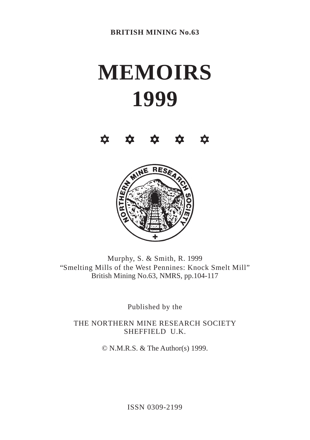# **MEMOIRS 1999**





Murphy, S. & Smith, R. 1999 "Smelting Mills of the West Pennines: Knock Smelt Mill" British Mining No.63, NMRS, pp.104-117

Published by the

THE NORTHERN MINE RESEARCH SOCIETY SHEFFIELD U.K.

© N.M.R.S. & The Author(s) 1999.

ISSN 0309-2199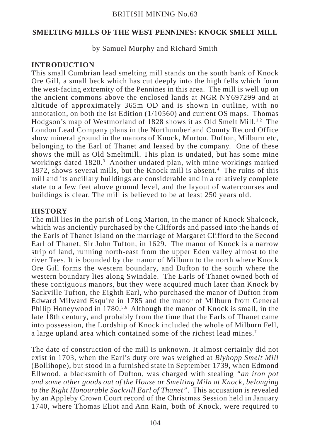by Samuel Murphy and Richard Smith

# **INTRODUCTION**

This small Cumbrian lead smelting mill stands on the south bank of Knock Ore Gill, a small beck which has cut deeply into the high fells which form the west-facing extremity of the Pennines in this area. The mill is well up on the ancient commons above the enclosed lands at NGR NY697299 and at altitude of approximately 365m OD and is shown in outline, with no annotation, on both the lst Edition (1/10560) and current OS maps. Thomas Hodgson's map of Westmorland of 1828 shows it as Old Smelt Mill.<sup>1,2</sup> The London Lead Company plans in the Northumberland County Record Office show mineral ground in the manors of Knock, Murton, Dufton, Milburn etc, belonging to the Earl of Thanet and leased by the company. One of these shows the mill as Old Smeltmill. This plan is undated, but has some mine workings dated 1820.<sup>3</sup> Another undated plan, with mine workings marked 1872, shows several mills, but the Knock mill is absent.<sup>4</sup> The ruins of this mill and its ancillary buildings are considerable and in a relatively complete state to a few feet above ground level, and the layout of watercourses and buildings is clear. The mill is believed to be at least 250 years old.

## **HISTORY**

The mill lies in the parish of Long Marton, in the manor of Knock Shalcock, which was anciently purchased by the Cliffords and passed into the hands of the Earls of Thanet Island on the marriage of Margaret Clifford to the Second Earl of Thanet, Sir John Tufton, in 1629. The manor of Knock is a narrow strip of land, running north-east from the upper Eden valley almost to the river Tees. It is bounded by the manor of Milburn to the north where Knock Ore Gill forms the western boundary, and Dufton to the south where the western boundary lies along Swindale. The Earls of Thanet owned both of these contiguous manors, but they were acquired much later than Knock by Sackville Tufton, the Eighth Earl, who purchased the manor of Dufton from Edward Milward Esquire in 1785 and the manor of Milburn from General Philip Honeywood in 1780.<sup>5,6</sup> Although the manor of Knock is small, in the late 18th century, and probably from the time that the Earls of Thanet came into possession, the Lordship of Knock included the whole of Milburn Fell, a large upland area which contained some of the richest lead mines.7

The date of construction of the mill is unknown. It almost certainly did not exist in 1703, when the Earl's duty ore was weighed at *Blyhopp Smelt Mill* (Bollihope), but stood in a furnished state in September 1739, when Edmond Ellwood, a blacksmith of Dufton, was charged with stealing *"an iron pot and some other goods out of the House or Smelting Miln at Knock, belonging to the Right Honourable Sackvill Earl of Thanet"*. This accusation is revealed by an Appleby Crown Court record of the Christmas Session held in January 1740, where Thomas Eliot and Ann Rain, both of Knock, were required to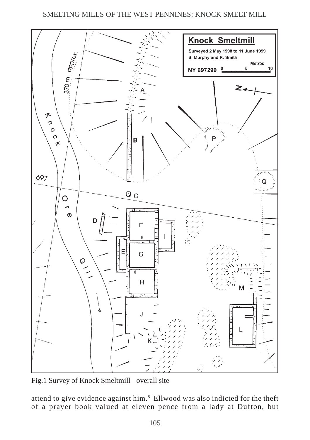

Fig.1 Survey of Knock Smeltmill - overall site

attend to give evidence against him.<sup>8</sup> Ellwood was also indicted for the theft of a prayer book valued at eleven pence from a lady at Dufton, but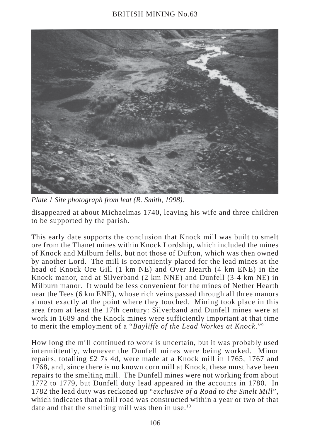# BRITISH MINING No.63



*Plate 1 Site photograph from leat (R. Smith, 1998).*

disappeared at about Michaelmas 1740, leaving his wife and three children to be supported by the parish.

This early date supports the conclusion that Knock mill was built to smelt ore from the Thanet mines within Knock Lordship, which included the mines of Knock and Milburn fells, but not those of Dufton, which was then owned by another Lord. The mill is conveniently placed for the lead mines at the head of Knock Ore Gill (1 km NE) and Over Hearth (4 km ENE) in the Knock manor, and at Silverband (2 km NNE) and Dunfell (3-4 km NE) in Milburn manor. It would be less convenient for the mines of Nether Hearth near the Tees (6 km ENE), whose rich veins passed through all three manors almost exactly at the point where they touched. Mining took place in this area from at least the 17th century: Silverband and Dunfell mines were at work in 1689 and the Knock mines were sufficiently important at that time to merit the employment of a "*Bayliffe of the Lead Workes at Knock*."9

How long the mill continued to work is uncertain, but it was probably used intermittently, whenever the Dunfell mines were being worked. Minor repairs, totalling £2 7s 4d, were made at a Knock mill in 1765, 1767 and 1768, and, since there is no known corn mill at Knock, these must have been repairs to the smelting mill. The Dunfell mines were not working from about 1772 to 1779, but Dunfell duty lead appeared in the accounts in 1780. In 1782 the lead duty was reckoned up "*exclusive of a Road to the Smelt Mill*", which indicates that a mill road was constructed within a year or two of that date and that the smelting mill was then in use.<sup>10</sup>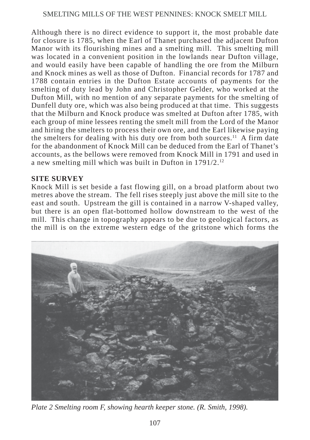Although there is no direct evidence to support it, the most probable date for closure is 1785, when the Earl of Thanet purchased the adjacent Dufton Manor with its flourishing mines and a smelting mill. This smelting mill was located in a convenient position in the lowlands near Dufton village, and would easily have been capable of handling the ore from the Milburn and Knock mines as well as those of Dufton. Financial records for 1787 and 1788 contain entries in the Dufton Estate accounts of payments for the smelting of duty lead by John and Christopher Gelder, who worked at the Dufton Mill, with no mention of any separate payments for the smelting of Dunfell duty ore, which was also being produced at that time. This suggests that the Milburn and Knock produce was smelted at Dufton after 1785, with each group of mine lessees renting the smelt mill from the Lord of the Manor and hiring the smelters to process their own ore, and the Earl likewise paying the smelters for dealing with his duty ore from both sources.<sup>11</sup> A firm date for the abandonment of Knock Mill can be deduced from the Earl of Thanet's accounts, as the bellows were removed from Knock Mill in 1791 and used in a new smelting mill which was built in Dufton in 1791/2.12

#### **SITE SURVEY**

Knock Mill is set beside a fast flowing gill, on a broad platform about two metres above the stream. The fell rises steeply just above the mill site to the east and south. Upstream the gill is contained in a narrow V-shaped valley, but there is an open flat-bottomed hollow downstream to the west of the mill. This change in topography appears to be due to geological factors, as the mill is on the extreme western edge of the gritstone which forms the



*Plate 2 Smelting room F, showing hearth keeper stone. (R. Smith, 1998).*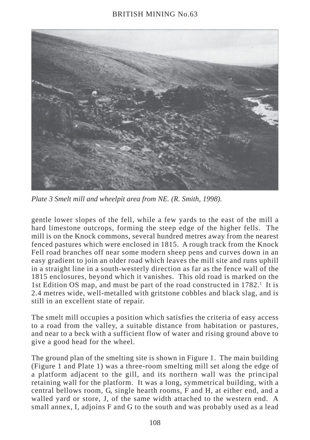

*Plate 3 Smelt mill and wheelpit area from NE. (R. Smith, 1998).*

gentle lower slopes of the fell, while a few yards to the east of the mill a hard limestone outcrops, forming the steep edge of the higher fells. The mill is on the Knock commons, several hundred metres away from the nearest fenced pastures which were enclosed in 1815. A rough track from the Knock Fell road branches off near some modern sheep pens and curves down in an easy gradient to join an older road which leaves the mill site and runs uphill in a straight line in a south-westerly direction as far as the fence wall of the 1815 enclosures, beyond which it vanishes. This old road is marked on the 1st Edition OS map, and must be part of the road constructed in 1782.<sup>1</sup> It is 2.4 metres wide, well-metalled with gritstone cobbles and black slag, and is still in an excellent state of repair.

The smelt mill occupies a position which satisfies the criteria of easy access to a road from the valley, a suitable distance from habitation or pastures, and near to a beck with a sufficient flow of water and rising ground above to give a good head for the wheel.

The ground plan of the smelting site is shown in Figure 1. The main building (Figure 1 and Plate 1) was a three-room smelting mill set along the edge of a platform adjacent to the gill, and its northern wall was the principal retaining wall for the platform. It was a long, symmetrical building, with a central bellows room, G, single hearth rooms, F and H, at either end, and a walled yard or store, J, of the same width attached to the western end. A small annex, I, adjoins F and G to the south and was probably used as a lead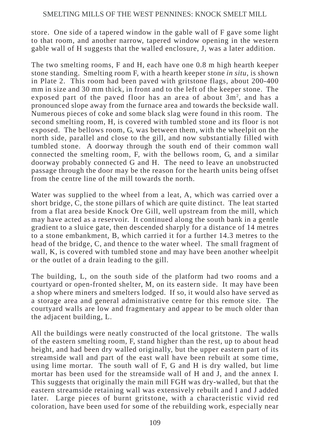store. One side of a tapered window in the gable wall of F gave some light to that room, and another narrow, tapered window opening in the western gable wall of H suggests that the walled enclosure, J, was a later addition.

The two smelting rooms, F and H, each have one 0.8 m high hearth keeper stone standing. Smelting room F, with a hearth keeper stone *in situ,* is shown in Plate 2. This room had been paved with gritstone flags, about 200-400 mm in size and 30 mm thick, in front and to the left of the keeper stone. The exposed part of the paved floor has an area of about 3m<sup>2</sup>, and has a pronounced slope away from the furnace area and towards the beckside wall. Numerous pieces of coke and some black slag were found in this room. The second smelting room, H, is covered with tumbled stone and its floor is not exposed. The bellows room, G, was between them, with the wheelpit on the north side, parallel and close to the gill, and now substantially filled with tumbled stone. A doorway through the south end of their common wall connected the smelting room, F, with the bellows room, G, and a similar doorway probably connected G and H. The need to leave an unobstructed passage through the door may be the reason for the hearth units being offset from the centre line of the mill towards the north.

Water was supplied to the wheel from a leat, A, which was carried over a short bridge, C, the stone pillars of which are quite distinct. The leat started from a flat area beside Knock Ore Gill, well upstream from the mill, which may have acted as a reservoir. It continued along the south bank in a gentle gradient to a sluice gate, then descended sharply for a distance of 14 metres to a stone embankment, B, which carried it for a further 14.3 metres to the head of the bridge, C, and thence to the water wheel. The small fragment of wall, K, is covered with tumbled stone and may have been another wheelpit or the outlet of a drain leading to the gill.

The building, L, on the south side of the platform had two rooms and a courtyard or open-fronted shelter, M, on its eastern side. It may have been a shop where miners and smelters lodged. If so, it would also have served as a storage area and general administrative centre for this remote site. The courtyard walls are low and fragmentary and appear to be much older than the adjacent building, L.

All the buildings were neatly constructed of the local gritstone. The walls of the eastern smelting room, F, stand higher than the rest, up to about head height, and had been dry walled originally, but the upper eastern part of its streamside wall and part of the east wall have been rebuilt at some time, using lime mortar. The south wall of F, G and H is dry walled, but lime mortar has been used for the streamside wall of H and J, and the annex I. This suggests that originally the main mill FGH was dry-walled, but that the eastern streamside retaining wall was extensively rebuilt and I and J added later. Large pieces of burnt gritstone, with a characteristic vivid red coloration, have been used for some of the rebuilding work, especially near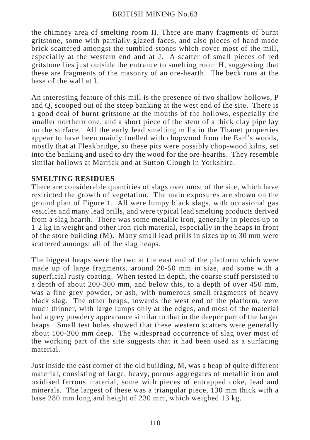the chimney area of smelting room H. There are many fragments of burnt gritstone, some with partially glazed faces, and also pieces of hand-made brick scattered amongst the tumbled stones which cover most of the mill, especially at the western end and at J. A scatter of small pieces of red gritstone lies just outside the entrance to smelting room H, suggesting that these are fragments of the masonry of an ore-hearth. The beck runs at the base of the wall at I.

An interesting feature of this mill is the presence of two shallow hollows, P and Q, scooped out of the steep banking at the west end of the site. There is a good deal of burnt gritstone at the mouths of the hollows, especially the smaller northern one, and a short piece of the stem of a thick clay pipe lay on the surface. All the early lead smelting mills in the Thanet properties appear to have been mainly fuelled with chopwood from the Earl's woods, mostly that at Fleakbridge, so these pits were possibly chop-wood kilns, set into the banking and used to dry the wood for the ore-hearths. They resemble similar hollows at Marrick and at Sutton Clough in Yorkshire.

## **SMELTING RESIDUES**

There are considerable quantities of slags over most of the site, which have restricted the growth of vegetation. The main exposures are shown on the ground plan of Figure 1. All were lumpy black slags, with occasional gas vesicles and many lead prills, and were typical lead smelting products derived from a slag hearth. There was some metallic iron, generally in pieces up to 1-2 kg in weight and other iron-rich material, especially in the heaps in front of the store building (M). Many small lead prills in sizes up to 30 mm were scattered amongst all of the slag heaps.

The biggest heaps were the two at the east end of the platform which were made up of large fragments, around 20-50 mm in size, and some with a superficial rusty coating. When tested in depth, the coarse stuff persisted to a depth of about 200-300 mm, and below this, to a depth of over 450 mm, was a fine grey powder, or ash, with numerous small fragments of heavy black slag. The other heaps, towards the west end of the platform, were much thinner, with large lumps only at the edges, and most of the material had a grey powdery appearance similar to that in the deeper part of the larger heaps. Small test holes showed that these western scatters were generally about 100-300 mm deep. The widespread occurrence of slag over most of the working part of the site suggests that it had been used as a surfacing material.

Just inside the east corner of the old building, M, was a heap of quite different material, consisting of large, heavy, porous aggregates of metallic iron and oxidised ferrous material, some with pieces of entrapped coke, lead and minerals. The largest of these was a triangular piece, 130 mm thick with a base 280 mm long and height of 230 mm, which weighed 13 kg.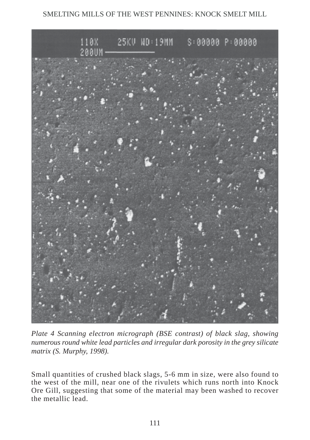

*Plate 4 Scanning electron micrograph (BSE contrast) of black slag, showing numerous round white lead particles and irregular dark porosity in the grey silicate matrix (S. Murphy, 1998).*

Small quantities of crushed black slags, 5-6 mm in size, were also found to the west of the mill, near one of the rivulets which runs north into Knock Ore Gill, suggesting that some of the material may been washed to recover the metallic lead.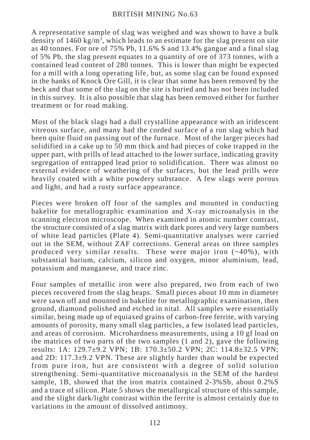A representative sample of slag was weighed and was shown to have a bulk density of 1460 kg/m<sup>3</sup>, which leads to an estimate for the slag present on site as 40 tonnes. For ore of 75% Pb, 11.6% S and 13.4% gangue and a final slag of 5% Pb, the slag present equates to a quantity of ore of 373 tonnes, with a contained lead content of 280 tonnes. This is lower than might be expected for a mill with a long operating life, but, as some slag can be found exposed in the banks of Knock Ore Gill, it is clear that some has been removed by the beck and that some of the slag on the site is buried and has not been included in this survey. It is also possible that slag has been removed either for further treatment or for road making.

Most of the black slags had a dull crystalline appearance with an iridescent vitreous surface, and many had the corded surface of a run slag which had been quite fluid on passing out of the furnace. Most of the larger pieces had solidified in a cake up to 50 mm thick and had pieces of coke trapped in the upper part, with prills of lead attached to the lower surface, indicating gravity segregation of entrapped lead prior to solidification. There was almost no external evidence of weathering of the surfaces, but the lead prills were heavily coated with a white powdery substance. A few slags were porous and light, and had a rusty surface appearance.

Pieces were broken off four of the samples and mounted in conducting bakelite for metallographic examination and X-ray microanalysis in the scanning electron microscope. When examined in atomic number contrast, the structure consisted of a slag matrix with dark pores and very large numbers of white lead particles (Plate 4). Semi-quantitative analyses were carried out in the SEM, without ZAF corrections. General areas on three samples produced very similar results. These were major iron  $(-40\%)$ , with substantial barium, calcium, silicon and oxygen, minor aluminium, lead, potassium and manganese, and trace zinc.

Four samples of metallic iron were also prepared, two from each of two pieces recovered from the slag heaps. Small pieces about 10 mm in diameter were sawn off and mounted in bakelite for metallographic examination, then ground, diamond polished and etched in nital. All samples were essentially similar, being made up of equiaxed grains of carbon-free ferrite, with varying amounts of porosity, many small slag particles, a few isolated lead particles, and areas of corrosion. Microhardness measurements, using a 10 gf load on the matrices of two parts of the two samples (1 and 2), gave the following results: 1A: 129.7±9.2 VPN; 1B: 170.3±50.2 VPN; 2C: 114.8±32.5 VPN; and 2D: 117.3±9.2 VPN. These are slightly harder than would be expected from pure iron, but are consistent with a degree of solid solution strengthening. Semi-quantitative microanalysis in the SEM of the hardest sample, 1B, showed that the iron matrix contained 2-3%Sb, about 0.2%S and a trace of silicon. Plate 5 shows the metallurgical structure of this sample, and the slight dark/light contrast within the ferrite is almost certainly due to variations in the amount of dissolved antimony.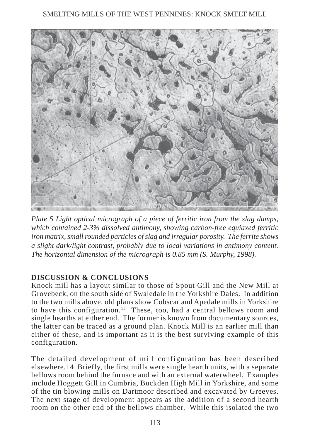

*Plate 5 Light optical micrograph of a piece of ferritic iron from the slag dumps, which contained 2-3% dissolved antimony, showing carbon-free equiaxed ferritic iron matrix, small rounded particles of slag and irregular porosity. The ferrite shows a slight dark/light contrast, probably due to local variations in antimony content. The horizontal dimension of the micrograph is 0.85 mm (S. Murphy, 1998).*

# **DISCUSSION & CONCLUSIONS**

Knock mill has a layout similar to those of Spout Gill and the New Mill at Grovebeck, on the south side of Swaledale in the Yorkshire Dales. In addition to the two mills above, old plans show Cobscar and Apedale mills in Yorkshire to have this configuration.15 These, too, had a central bellows room and single hearths at either end. The former is known from documentary sources, the latter can be traced as a ground plan. Knock Mill is an earlier mill than either of these, and is important as it is the best surviving example of this configuration.

The detailed development of mill configuration has been described elsewhere.14 Briefly, the first mills were single hearth units, with a separate bellows room behind the furnace and with an external waterwheel. Examples include Hoggett Gill in Cumbria, Buckden High Mill in Yorkshire, and some of the tin blowing mills on Dartmoor described and excavated by Greeves. The next stage of development appears as the addition of a second hearth room on the other end of the bellows chamber. While this isolated the two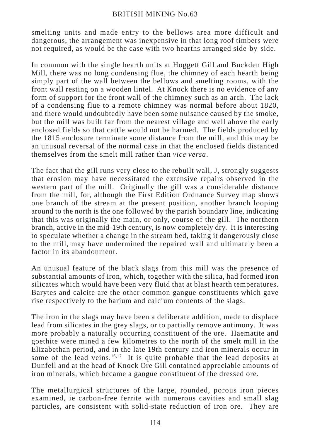### BRITISH MINING No.63

smelting units and made entry to the bellows area more difficult and dangerous, the arrangement was inexpensive in that long roof timbers were not required, as would be the case with two hearths arranged side-by-side.

In common with the single hearth units at Hoggett Gill and Buckden High Mill, there was no long condensing flue, the chimney of each hearth being simply part of the wall between the bellows and smelting rooms, with the front wall resting on a wooden lintel. At Knock there is no evidence of any form of support for the front wall of the chimney such as an arch. The lack of a condensing flue to a remote chimney was normal before about 1820, and there would undoubtedly have been some nuisance caused by the smoke, but the mill was built far from the nearest village and well above the early enclosed fields so that cattle would not be harmed. The fields produced by the 1815 enclosure terminate some distance from the mill, and this may be an unusual reversal of the normal case in that the enclosed fields distanced themselves from the smelt mill rather than *vice versa*.

The fact that the gill runs very close to the rebuilt wall, J, strongly suggests that erosion may have necessitated the extensive repairs observed in the western part of the mill. Originally the gill was a considerable distance from the mill, for, although the First Edition Ordnance Survey map shows one branch of the stream at the present position, another branch looping around to the north is the one followed by the parish boundary line, indicating that this was originally the main, or only, course of the gill. The northern branch, active in the mid-19th century, is now completely dry. It is interesting to speculate whether a change in the stream bed, taking it dangerously close to the mill, may have undermined the repaired wall and ultimately been a factor in its abandonment.

An unusual feature of the black slags from this mill was the presence of substantial amounts of iron, which, together with the silica, had formed iron silicates which would have been very fluid that at blast hearth temperatures. Barytes and calcite are the other common gangue constituents which gave rise respectively to the barium and calcium contents of the slags.

The iron in the slags may have been a deliberate addition, made to displace lead from silicates in the grey slags, or to partially remove antimony. It was more probably a naturally occurring constituent of the ore. Haematite and goethite were mined a few kilometres to the north of the smelt mill in the Elizabethan period, and in the late 19th century and iron minerals occur in some of the lead veins. $16,17$  It is quite probable that the lead deposits at Dunfell and at the head of Knock Ore Gill contained appreciable amounts of iron minerals, which became a gangue constituent of the dressed ore.

The metallurgical structures of the large, rounded, porous iron pieces examined, ie carbon-free ferrite with numerous cavities and small slag particles, are consistent with solid-state reduction of iron ore. They are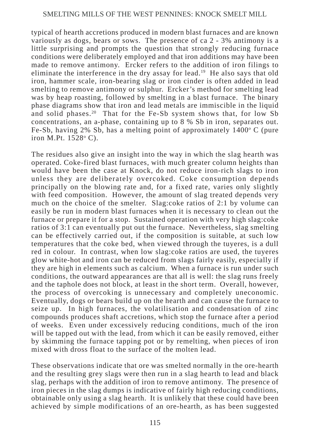typical of hearth accretions produced in modern blast furnaces and are known variously as dogs, bears or sows. The presence of ca 2 - 3% antimony is a little surprising and prompts the question that strongly reducing furnace conditions were deliberately employed and that iron additions may have been made to remove antimony. Ercker refers to the addition of iron filings to eliminate the interference in the dry assay for lead.<sup>19</sup> He also says that old iron, hammer scale, iron-bearing slag or iron cinder is often added in lead smelting to remove antimony or sulphur. Ercker's method for smelting lead was by heap roasting, followed by smelting in a blast furnace. The binary phase diagrams show that iron and lead metals are immiscible in the liquid and solid phases.<sup>20</sup> That for the Fe-Sb system shows that, for low Sb concentrations, an a-phase, containing up to 8 % Sb in iron, separates out. Fe-Sb, having 2% Sb, has a melting point of approximately 1400°C (pure iron M.Pt. 1528°C).

The residues also give an insight into the way in which the slag hearth was operated. Coke-fired blast furnaces, with much greater column heights than would have been the case at Knock, do not reduce iron-rich slags to iron unless they are deliberately overcoked. Coke consumption depends principally on the blowing rate and, for a fixed rate, varies only slightly with feed composition. However, the amount of slag treated depends very much on the choice of the smelter. Slag:coke ratios of 2:1 by volume can easily be run in modern blast furnaces when it is necessary to clean out the furnace or prepare it for a stop. Sustained operation with very high slag:coke ratios of 3:1 can eventually put out the furnace. Nevertheless, slag smelting can be effectively carried out, if the composition is suitable, at such low temperatures that the coke bed, when viewed through the tuyeres, is a dull red in colour. In contrast, when low slag:coke ratios are used, the tuyeres glow white-hot and iron can be reduced from slags fairly easily, especially if they are high in elements such as calcium. When a furnace is run under such conditions, the outward appearances are that all is well: the slag runs freely and the taphole does not block, at least in the short term. Overall, however, the process of overcoking is unnecessary and completely uneconomic. Eventually, dogs or bears build up on the hearth and can cause the furnace to seize up. In high furnaces, the volatilisation and condensation of zinc compounds produces shaft accretions, which stop the furnace after a period of weeks. Even under excessively reducing conditions, much of the iron will be tapped out with the lead, from which it can be easily removed, either by skimming the furnace tapping pot or by remelting, when pieces of iron mixed with dross float to the surface of the molten lead.

These observations indicate that ore was smelted normally in the ore-hearth and the resulting grey slags were then run in a slag hearth to lead and black slag, perhaps with the addition of iron to remove antimony. The presence of iron pieces in the slag dumps is indicative of fairly high reducing conditions, obtainable only using a slag hearth. It is unlikely that these could have been achieved by simple modifications of an ore-hearth, as has been suggested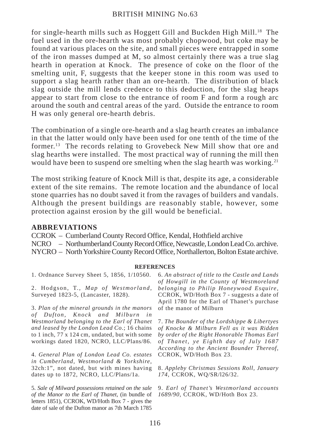#### BRITISH MINING No.63

for single-hearth mills such as Hoggett Gill and Buckden High Mill.18 The fuel used in the ore-hearth was most probably chopwood, but coke may be found at various places on the site, and small pieces were entrapped in some of the iron masses dumped at M, so almost certainly there was a true slag hearth in operation at Knock. The presence of coke on the floor of the smelting unit, F, suggests that the keeper stone in this room was used to support a slag hearth rather than an ore-hearth. The distribution of black slag outside the mill lends credence to this deduction, for the slag heaps appear to start from close to the entrance of room F and form a rough arc around the south and central areas of the yard. Outside the entrance to room H was only general ore-hearth debris.

The combination of a single ore-hearth and a slag hearth creates an imbalance in that the latter would only have been used for one tenth of the time of the former.13 The records relating to Grovebeck New Mill show that ore and slag hearths were installed. The most practical way of running the mill then would have been to suspend ore smelting when the slag hearth was working.<sup>21</sup>

The most striking feature of Knock Mill is that, despite its age, a considerable extent of the site remains. The remote location and the abundance of local stone quarries has no doubt saved it from the ravages of builders and vandals. Although the present buildings are reasonably stable, however, some protection against erosion by the gill would be beneficial.

#### **ABBREVIATIONS**

CCROK – Cumberland County Record Office, Kendal, Hothfield archive

NCRO – Northumberland County Record Office, Newcastle, London Lead Co. archive.

NYCRO – North Yorkshire County Record Office, Northallerton, Bolton Estate archive.

#### **REFERENCES**

1. Ordnance Survey Sheet 5, 1856, 1/10560.

2. Hodgson, T., *Map of Westmorland*, Surveyed 1823-5, (Lancaster, 1828).

3. *Plan of the mineral grounds in the manors of Dufton, Knock and Milburn in Westmorland belonging to the Earl of Thanet and leased by the London Lead Co*.; 16 chains to 1 inch, 77 x 124 cm, undated, but with some workings dated 1820, NCRO, LLC/Plans/86.

4. *General Plan of London Lead Co. estates in Cumberland, Westmorland & Yorkshire*, 32ch:1", not dated, but with mines having dates up to 1872, NCRO, LLC/Plans/1a.

5. *Sale of Milward possessions retained on the sale of the Manor to the Earl of Thanet*, (in bundle of letters 1851), CCROK, WD/Hoth Box 7 - gives the date of sale of the Dufton manor as 7th March 1785

6. *An abstract of title to the Castle and Lands of Howgill in the County of Westmoreland belonging to Philip Honeywood Esquire,* CCROK, WD/Hoth Box 7 - suggests a date of April 1780 for the Earl of Thanet's purchase of the manor of Milburn

7. *The Bounder of the Lordshippe & Libertyes of Knocke & Milburn Fell as it was Ridden by order of the Right Honorable Thomas Earl of Thanet, ye Eighth day of July 1687 According to the Ancient Bounder Thereof,* CCROK, WD/Hoth Box 23.

8. *Appleby Christmas Sessions Roll, January 174,* CCROK, WQ/SR/l26/32.

9. *Earl of Thanet's Westmorland accounts 1689/90,* CCROK, WD/Hoth Box 23.